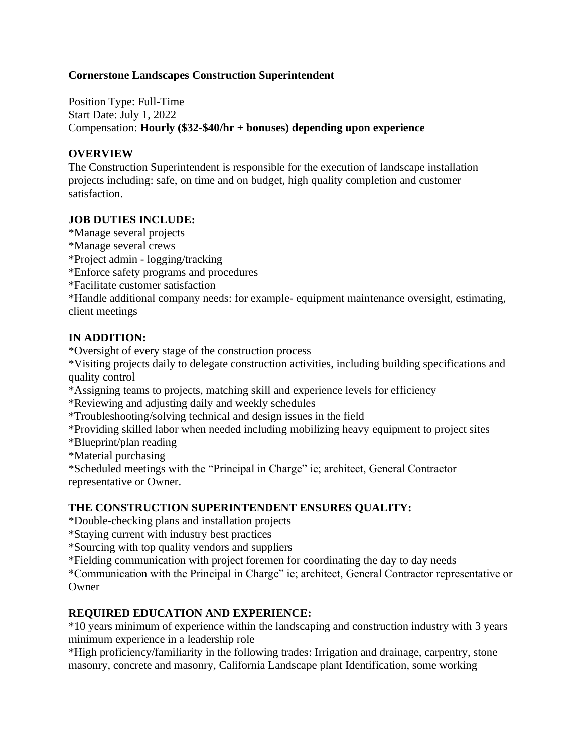### **Cornerstone Landscapes Construction Superintendent**

Position Type: Full-Time Start Date: July 1, 2022 Compensation: **Hourly (\$32-\$40/hr + bonuses) depending upon experience**

#### **OVERVIEW**

The Construction Superintendent is responsible for the execution of landscape installation projects including: safe, on time and on budget, high quality completion and customer satisfaction.

#### **JOB DUTIES INCLUDE:**

\*Manage several projects \*Manage several crews \*Project admin - logging/tracking \*Enforce safety programs and procedures \*Facilitate customer satisfaction \*Handle additional company needs: for example- equipment maintenance oversight, estimating, client meetings

### **IN ADDITION:**

\*Oversight of every stage of the construction process

\*Visiting projects daily to delegate construction activities, including building specifications and quality control

\*Assigning teams to projects, matching skill and experience levels for efficiency

\*Reviewing and adjusting daily and weekly schedules

\*Troubleshooting/solving technical and design issues in the field

\*Providing skilled labor when needed including mobilizing heavy equipment to project sites

\*Blueprint/plan reading

\*Material purchasing

\*Scheduled meetings with the "Principal in Charge" ie; architect, General Contractor representative or Owner.

#### **THE CONSTRUCTION SUPERINTENDENT ENSURES QUALITY:**

\*Double-checking plans and installation projects

\*Staying current with industry best practices

\*Sourcing with top quality vendors and suppliers

\*Fielding communication with project foremen for coordinating the day to day needs

\*Communication with the Principal in Charge" ie; architect, General Contractor representative or **Owner** 

#### **REQUIRED EDUCATION AND EXPERIENCE:**

\*10 years minimum of experience within the landscaping and construction industry with 3 years minimum experience in a leadership role

\*High proficiency/familiarity in the following trades: Irrigation and drainage, carpentry, stone masonry, concrete and masonry, California Landscape plant Identification, some working